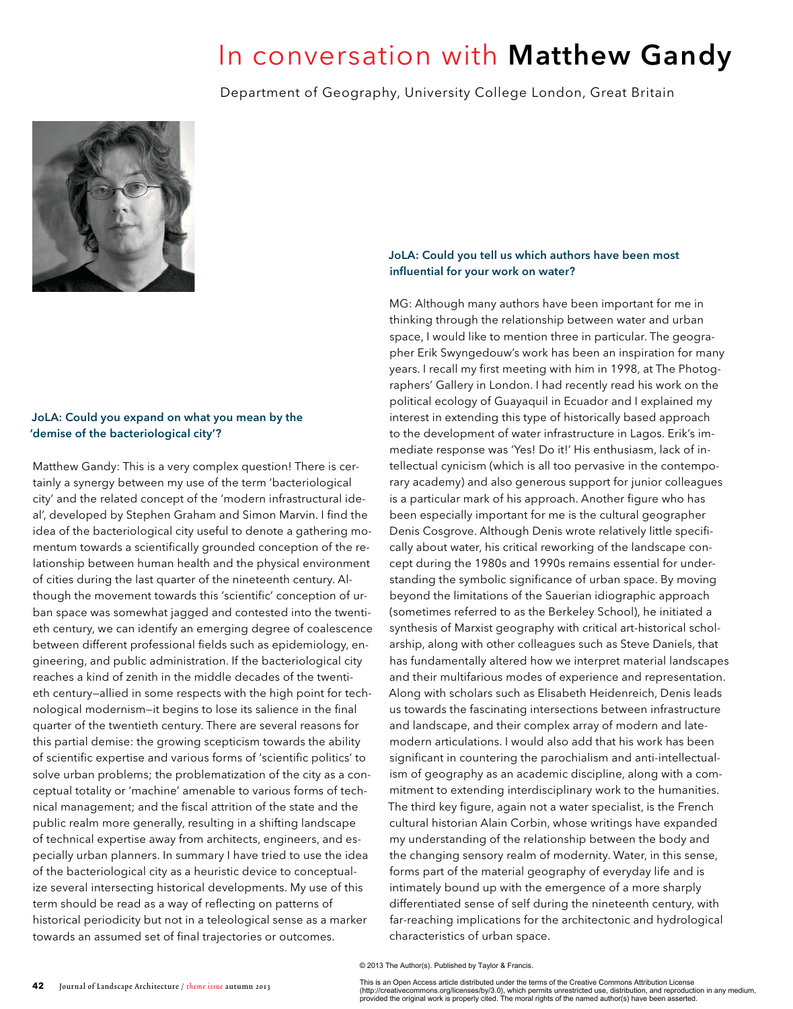# In conversation with Matthew Gandy

Department of Geography, University College London, Great Britain



## JoLA: Could you expand on what you mean by the 'demise of the bacteriological city'?

Matthew Gandy: This is a very complex question! There is certainly a synergy between my use of the term 'bacteriological city' and the related concept of the 'modern infrastructural ideal', developed by Stephen Graham and Simon Marvin. I find the idea of the bacteriological city useful to denote a gathering momentum towards a scientifically grounded conception of the relationship between human health and the physical environment of cities during the last quarter of the nineteenth century. Although the movement towards this 'scientific' conception of urban space was somewhat jagged and contested into the twentieth century, we can identify an emerging degree of coalescence between different professional fields such as epidemiology, engineering, and public administration. If the bacteriological city reaches a kind of zenith in the middle decades of the twentieth century—allied in some respects with the high point for technological modernism—it begins to lose its salience in the final quarter of the twentieth century. There are several reasons for this partial demise: the growing scepticism towards the ability of scientific expertise and various forms of 'scientific politics' to solve urban problems; the problematization of the city as a conceptual totality or 'machine' amenable to various forms of technical management; and the fiscal attrition of the state and the public realm more generally, resulting in a shifting landscape of technical expertise away from architects, engineers, and especially urban planners. In summary I have tried to use the idea of the bacteriological city as a heuristic device to conceptualize several intersecting historical developments. My use of this term should be read as a way of reflecting on patterns of historical periodicity but not in a teleological sense as a marker towards an assumed set of final trajectories or outcomes.

## JoLA: Could you tell us which authors have been most influential for your work on water?

MG: Although many authors have been important for me in thinking through the relationship between water and urban space, I would like to mention three in particular. The geographer Erik Swyngedouw's work has been an inspiration for many years. I recall my first meeting with him in 1998, at The Photographers' Gallery in London. I had recently read his work on the political ecology of Guayaquil in Ecuador and I explained my interest in extending this type of historically based approach to the development of water infrastructure in Lagos. Erik's immediate response was 'Yes! Do it!' His enthusiasm, lack of intellectual cynicism (which is all too pervasive in the contemporary academy) and also generous support for junior colleagues is a particular mark of his approach. Another figure who has been especially important for me is the cultural geographer Denis Cosgrove. Although Denis wrote relatively little specifically about water, his critical reworking of the landscape concept during the 1980s and 1990s remains essential for understanding the symbolic significance of urban space. By moving beyond the limitations of the Sauerian idiographic approach (sometimes referred to as the Berkeley School), he initiated a synthesis of Marxist geography with critical art-historical scholarship, along with other colleagues such as Steve Daniels, that has fundamentally altered how we interpret material landscapes and their multifarious modes of experience and representation. Along with scholars such as Elisabeth Heidenreich, Denis leads us towards the fascinating intersections between infrastructure and landscape, and their complex array of modern and latemodern articulations. I would also add that his work has been significant in countering the parochialism and anti-intellectualism of geography as an academic discipline, along with a commitment to extending interdisciplinary work to the humanities. The third key figure, again not a water specialist, is the French cultural historian Alain Corbin, whose writings have expanded my understanding of the relationship between the body and the changing sensory realm of modernity. Water, in this sense, forms part of the material geography of everyday life and is intimately bound up with the emergence of a more sharply differentiated sense of self during the nineteenth century, with far-reaching implications for the architectonic and hydrological characteristics of urban space.

This is an Open Access article distributed under the terms of the Creative Commons Attribution License (http://creativecommons.org/licenses/by/3.0), which permits unrestricted use, distribution, and reproduction in any medium,<br>provided the original work is properly cited. The moral rights of the named author(s) have been as